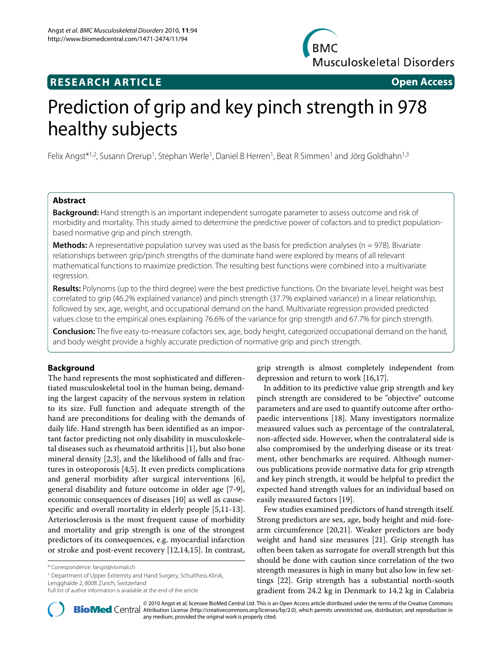**BMC Musculoskeletal Disorders** 

# **RESEARCH ARTICLE Open Access**

# Prediction of grip and key pinch strength in 978 healthy subjects

Felix Angst\*1,2, Susann Drerup1, Stephan Werle1, Daniel B Herren1, Beat R Simmen1 and Jörg Goldhahn1,3

# **Abstract**

**Background:** Hand strength is an important independent surrogate parameter to assess outcome and risk of morbidity and mortality. This study aimed to determine the predictive power of cofactors and to predict populationbased normative grip and pinch strength.

**Methods:** A representative population survey was used as the basis for prediction analyses (n = 978). Bivariate relationships between grip/pinch strengths of the dominate hand were explored by means of all relevant mathematical functions to maximize prediction. The resulting best functions were combined into a multivariate regression.

**Results:** Polynoms (up to the third degree) were the best predictive functions. On the bivariate level, height was best correlated to grip (46.2% explained variance) and pinch strength (37.7% explained variance) in a linear relationship, followed by sex, age, weight, and occupational demand on the hand. Multivariate regression provided predicted values close to the empirical ones explaining 76.6% of the variance for grip strength and 67.7% for pinch strength.

**Conclusion:** The five easy-to-measure cofactors sex, age, body height, categorized occupational demand on the hand, and body weight provide a highly accurate prediction of normative grip and pinch strength.

# **Background**

The hand represents the most sophisticated and differentiated musculoskeletal tool in the human being, demanding the largest capacity of the nervous system in relation to its size. Full function and adequate strength of the hand are preconditions for dealing with the demands of daily life. Hand strength has been identified as an important factor predicting not only disability in musculoskeletal diseases such as rheumatoid arthritis [[1\]](#page-5-0), but also bone mineral density [\[2](#page-5-1)[,3](#page-5-2)], and the likelihood of falls and fractures in osteoporosis [\[4](#page-5-3),[5\]](#page-5-4). It even predicts complications and general morbidity after surgical interventions [\[6](#page-5-5)], general disability and future outcome in older age [[7-](#page-5-6)[9](#page-5-7)], economic consequences of diseases [[10\]](#page-5-8) as well as causespecific and overall mortality in elderly people [[5,](#page-5-4)[11-](#page-5-9)[13](#page-5-10)]. Arteriosclerosis is the most frequent cause of morbidity and mortality and grip strength is one of the strongest predictors of its consequences, e.g. myocardial infarction or stroke and post-event recovery [\[12](#page-5-11)[,14](#page-5-12)[,15](#page-5-13)]. In contrast,

<sup>1</sup> Department of Upper Extremity and Hand Surgery, Schulthess Klinik, Lengghalde 2, 8008 Zurich, Switzerland

grip strength is almost completely independent from depression and return to work [[16,](#page-5-14)[17\]](#page-5-15).

In addition to its predictive value grip strength and key pinch strength are considered to be "objective" outcome parameters and are used to quantify outcome after orthopaedic interventions [\[18](#page-5-16)]. Many investigators normalize measured values such as percentage of the contralateral, non-affected side. However, when the contralateral side is also compromised by the underlying disease or its treatment, other benchmarks are required. Although numerous publications provide normative data for grip strength and key pinch strength, it would be helpful to predict the expected hand strength values for an individual based on easily measured factors [\[19](#page-5-17)].

Few studies examined predictors of hand strength itself. Strong predictors are sex, age, body height and mid-forearm circumference [\[20](#page-5-18)[,21](#page-5-19)]. Weaker predictors are body weight and hand size measures [[21](#page-5-19)]. Grip strength has often been taken as surrogate for overall strength but this should be done with caution since correlation of the two strength measures is high in many but also low in few settings [\[22](#page-5-20)]. Grip strength has a substantial north-south gradient from 24.2 kg in Denmark to 14.2 kg in Calabria



2010 Angst et al; licensee [BioMed](http://www.biomedcentral.com/) Central Ltd. This is an Open Access article distributed under the terms of the Creative Commons (http://creativecommons.org/licenses/by/2.0), which permits unrestricted use, distribution, any medium, provided the original work is properly cited.

<sup>\*</sup> Correspondence: fangst@vtxmail.ch

Full list of author information is available at the end of the article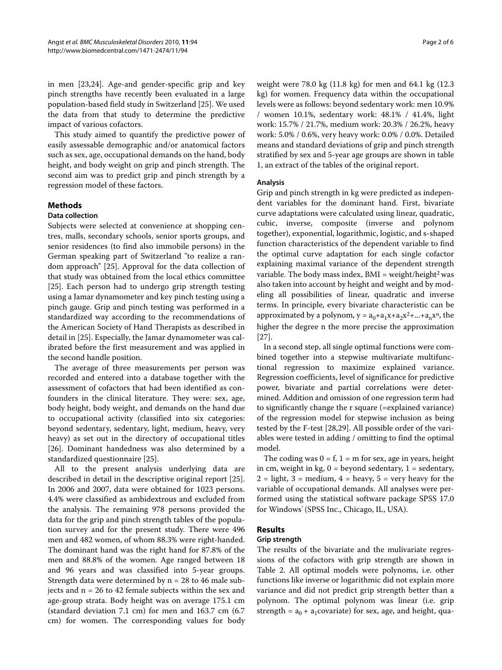in men [[23,](#page-5-21)[24\]](#page-5-22). Age-and gender-specific grip and key pinch strengths have recently been evaluated in a large population-based field study in Switzerland [\[25](#page-5-23)]. We used the data from that study to determine the predictive impact of various cofactors.

This study aimed to quantify the predictive power of easily assessable demographic and/or anatomical factors such as sex, age, occupational demands on the hand, body height, and body weight on grip and pinch strength. The second aim was to predict grip and pinch strength by a regression model of these factors.

# **Methods**

# **Data collection**

Subjects were selected at convenience at shopping centres, malls, secondary schools, senior sports groups, and senior residences (to find also immobile persons) in the German speaking part of Switzerland "to realize a random approach" [\[25](#page-5-23)]. Approval for the data collection of that study was obtained from the local ethics committee [[25\]](#page-5-23). Each person had to undergo grip strength testing using a Jamar dynamometer and key pinch testing using a pinch gauge. Grip and pinch testing was performed in a standardized way according to the recommendations of the American Society of Hand Therapists as described in detail in [[25\]](#page-5-23). Especially, the Jamar dynamometer was calibrated before the first measurement and was applied in the second handle position.

The average of three measurements per person was recorded and entered into a database together with the assessment of cofactors that had been identified as confounders in the clinical literature. They were: sex, age, body height, body weight, and demands on the hand due to occupational activity (classified into six categories: beyond sedentary, sedentary, light, medium, heavy, very heavy) as set out in the directory of occupational titles [[26\]](#page-5-24). Dominant handedness was also determined by a standardized questionnaire [\[25](#page-5-23)].

All to the present analysis underlying data are described in detail in the descriptive original report [\[25](#page-5-23)]. In 2006 and 2007, data were obtained for 1023 persons. 4.4% were classified as ambidextrous and excluded from the analysis. The remaining 978 persons provided the data for the grip and pinch strength tables of the population survey and for the present study. There were 496 men and 482 women, of whom 88.3% were right-handed. The dominant hand was the right hand for 87.8% of the men and 88.8% of the women. Age ranged between 18 and 96 years and was classified into 5-year groups. Strength data were determined by  $n = 28$  to 46 male subjects and n = 26 to 42 female subjects within the sex and age-group strata. Body height was on average 175.1 cm (standard deviation 7.1 cm) for men and 163.7 cm (6.7 cm) for women. The corresponding values for body

weight were 78.0 kg (11.8 kg) for men and 64.1 kg (12.3 kg) for women. Frequency data within the occupational levels were as follows: beyond sedentary work: men 10.9% / women 10.1%, sedentary work: 48.1% / 41.4%, light work: 15.7% / 21.7%, medium work: 20.3% / 26.2%, heavy work: 5.0% / 0.6%, very heavy work: 0.0% / 0.0%. Detailed means and standard deviations of grip and pinch strength stratified by sex and 5-year age groups are shown in table 1, an extract of the tables of the original report.

# **Analysis**

Grip and pinch strength in kg were predicted as independent variables for the dominant hand. First, bivariate curve adaptations were calculated using linear, quadratic, cubic, inverse, composite (inverse and polynom together), exponential, logarithmic, logistic, and s-shaped function characteristics of the dependent variable to find the optimal curve adaptation for each single cofactor explaining maximal variance of the dependent strength variable. The body mass index,  $BMI = weight/height<sup>2</sup>$  was also taken into account by height and weight and by modeling all possibilities of linear, quadratic and inverse terms. In principle, every bivariate characteristic can be approximated by a polynom,  $y = a_0 + a_1x + a_2x^2 + ... + a_nx^n$ , the higher the degree n the more precise the approximation [[27\]](#page-5-25).

In a second step, all single optimal functions were combined together into a stepwise multivariate multifunctional regression to maximize explained variance. Regression coefficients, level of significance for predictive power, bivariate and partial correlations were determined. Addition and omission of one regression term had to significantly change the r square (=explained variance) of the regression model for stepwise inclusion as being tested by the F-test [[28,](#page-5-26)[29\]](#page-5-27). All possible order of the variables were tested in adding / omitting to find the optimal model.

The coding was  $0 = f$ ,  $1 = m$  for sex, age in years, height in cm, weight in kg,  $0 =$  beyond sedentary,  $1 =$  sedentary,  $2 =$  light,  $3 =$  medium,  $4 =$  heavy,  $5 =$  very heavy for the variable of occupational demands. All analyses were performed using the statistical software package SPSS 17.0 for Windows<sup>®</sup> (SPSS Inc., Chicago, IL, USA).

# **Results**

#### **Grip strength**

The results of the bivariate and the mulivariate regressions of the cofactors with grip strength are shown in Table [2](#page-2-0). All optimal models were polynoms, i.e. other functions like inverse or logarithmic did not explain more variance and did not predict grip strength better than a polynom. The optimal polynom was linear (i.e. grip strength =  $a_0 + a_1$ covariate) for sex, age, and height, qua-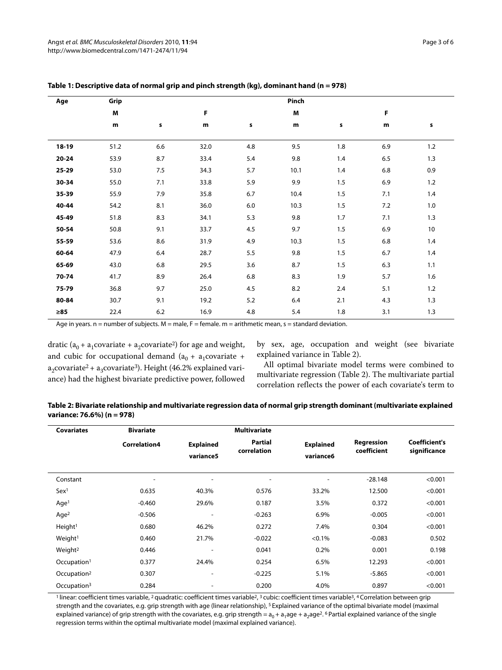| Age       | Grip |     | Pinch |     |      |     |     |     |  |
|-----------|------|-----|-------|-----|------|-----|-----|-----|--|
|           | M    |     | F     |     | M    |     | F   |     |  |
|           | m    | s   | m     | s   | m    | s   | m   | s   |  |
| $18-19$   | 51.2 | 6.6 | 32.0  | 4.8 | 9.5  | 1.8 | 6.9 | 1.2 |  |
| $20 - 24$ | 53.9 | 8.7 | 33.4  | 5.4 | 9.8  | 1.4 | 6.5 | 1.3 |  |
| 25-29     | 53.0 | 7.5 | 34.3  | 5.7 | 10.1 | 1.4 | 6.8 | 0.9 |  |
| 30-34     | 55.0 | 7.1 | 33.8  | 5.9 | 9.9  | 1.5 | 6.9 | 1.2 |  |
| 35-39     | 55.9 | 7.9 | 35.8  | 6.7 | 10.4 | 1.5 | 7.1 | 1.4 |  |
| 40-44     | 54.2 | 8.1 | 36.0  | 6.0 | 10.3 | 1.5 | 7.2 | 1.0 |  |
| 45-49     | 51.8 | 8.3 | 34.1  | 5.3 | 9.8  | 1.7 | 7.1 | 1.3 |  |
| 50-54     | 50.8 | 9.1 | 33.7  | 4.5 | 9.7  | 1.5 | 6.9 | 10  |  |
| 55-59     | 53.6 | 8.6 | 31.9  | 4.9 | 10.3 | 1.5 | 6.8 | 1.4 |  |
| 60-64     | 47.9 | 6.4 | 28.7  | 5.5 | 9.8  | 1.5 | 6.7 | 1.4 |  |
| 65-69     | 43.0 | 6.8 | 29.5  | 3.6 | 8.7  | 1.5 | 6.3 | 1.1 |  |
| 70-74     | 41.7 | 8.9 | 26.4  | 6.8 | 8.3  | 1.9 | 5.7 | 1.6 |  |
| 75-79     | 36.8 | 9.7 | 25.0  | 4.5 | 8.2  | 2.4 | 5.1 | 1.2 |  |
| 80-84     | 30.7 | 9.1 | 19.2  | 5.2 | 6.4  | 2.1 | 4.3 | 1.3 |  |
| ≥85       | 22.4 | 6.2 | 16.9  | 4.8 | 5.4  | 1.8 | 3.1 | 1.3 |  |

# <span id="page-2-1"></span>**Table 1: Descriptive data of normal grip and pinch strength (kg), dominant hand (n = 978)**

Age in years.  $n =$  number of subjects.  $M =$  male,  $F =$  female.  $m =$  arithmetic mean,  $s =$  standard deviation.

dratic ( $a_0 + a_1$ covariate +  $a_2$ covariate<sup>2</sup>) for age and weight, and cubic for occupational demand  $(a_0 + a_1$ covariate + a<sub>2</sub>covariate<sup>2</sup> + a<sub>3</sub>covariate<sup>3</sup>). Height (46.2% explained variance) had the highest bivariate predictive power, followed by sex, age, occupation and weight (see bivariate explained variance in Table 2).

All optimal bivariate model terms were combined to multivariate regression (Table 2). The multivariate partial correlation reflects the power of each covariate's term to

<span id="page-2-0"></span>

| Table 2: Bivariate relationship and multivariate regression data of normal grip strength dominant (multivariate explained |  |
|---------------------------------------------------------------------------------------------------------------------------|--|
| variance: 76.6%) (n = 978)                                                                                                |  |

| <b>Covariates</b>       | <b>Bivariate</b>         |                               | <b>Multivariate</b>           |                               |                           |                               |
|-------------------------|--------------------------|-------------------------------|-------------------------------|-------------------------------|---------------------------|-------------------------------|
|                         | Correlation4             | <b>Explained</b><br>variance5 | <b>Partial</b><br>correlation | <b>Explained</b><br>variance6 | Regression<br>coefficient | Coefficient's<br>significance |
| Constant                | $\overline{\phantom{a}}$ | ۰                             | ۰                             | ٠                             | $-28.148$                 | < 0.001                       |
| Sex <sup>1</sup>        | 0.635                    | 40.3%                         | 0.576                         | 33.2%                         | 12.500                    | < 0.001                       |
| Age <sup>1</sup>        | $-0.460$                 | 29.6%                         | 0.187                         | 3.5%                          | 0.372                     | < 0.001                       |
| Aqe <sup>2</sup>        | $-0.506$                 | $\overline{\phantom{a}}$      | $-0.263$                      | 6.9%                          | $-0.005$                  | < 0.001                       |
| Height <sup>1</sup>     | 0.680                    | 46.2%                         | 0.272                         | 7.4%                          | 0.304                     | < 0.001                       |
| Weight <sup>1</sup>     | 0.460                    | 21.7%                         | $-0.022$                      | $< 0.1\%$                     | $-0.083$                  | 0.502                         |
| Weight <sup>2</sup>     | 0.446                    | ٠.                            | 0.041                         | 0.2%                          | 0.001                     | 0.198                         |
| Occupation <sup>1</sup> | 0.377                    | 24.4%                         | 0.254                         | 6.5%                          | 12.293                    | < 0.001                       |
| Occupation <sup>2</sup> | 0.307                    | $\overline{\phantom{a}}$      | $-0.225$                      | 5.1%                          | $-5.865$                  | < 0.001                       |
| Occupation <sup>3</sup> | 0.284                    | ٠.                            | 0.200                         | 4.0%                          | 0.897                     | < 0.001                       |

<sup>1</sup> linear: coefficient times variable, <sup>2</sup> quadratic: coefficient times variable<sup>2</sup>, <sup>3</sup> cubic: coefficient times variable<sup>3</sup>, <sup>4</sup> Correlation between grip strength and the covariates, e.g. grip strength with age (linear relationship), <sup>5</sup> Explained variance of the optimal bivariate model (maximal explained variance) of grip strength with the covariates, e.g. grip strength =  $a_0 + a_1$ age +  $a_2$ age<sup>2</sup>. <sup>6</sup> Partial explained variance of the single regression terms within the optimal multivariate model (maximal explained variance).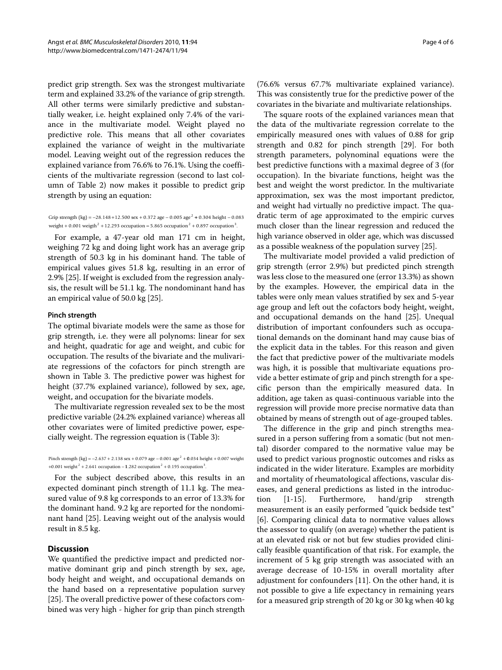predict grip strength. Sex was the strongest multivariate term and explained 33.2% of the variance of grip strength. All other terms were similarly predictive and substantially weaker, i.e. height explained only 7.4% of the variance in the multivariate model. Weight played no predictive role. This means that all other covariates explained the variance of weight in the multivariate model. Leaving weight out of the regression reduces the explained variance from 76.6% to 76.1%. Using the coefficients of the multivariate regression (second to last column of Table 2) now makes it possible to predict grip strength by using an equation:

Grip strength (kg) =  $-28.148 + 12.500$  sex + 0.372 age  $- 0.005$  age<sup>2</sup> + 0.304 height  $- 0.083$ weight + 0.001 weigth  $2 + 12.293$  occupation  $- 5.865$  occupation  $2 + 0.897$  occupation  $3.2$ 

For example, a 47-year old man 171 cm in height, weighing 72 kg and doing light work has an average grip strength of 50.3 kg in his dominant hand. The table of empirical values gives 51.8 kg, resulting in an error of 2.9% [[25\]](#page-5-23). If weight is excluded from the regression analysis, the result will be 51.1 kg. The nondominant hand has an empirical value of 50.0 kg [\[25\]](#page-5-23).

#### **Pinch strength**

The optimal bivariate models were the same as those for grip strength, i.e. they were all polynoms: linear for sex and height, quadratic for age and weight, and cubic for occupation. The results of the bivariate and the mulivariate regressions of the cofactors for pinch strength are shown in Table 3. The predictive power was highest for height (37.7% explained variance), followed by sex, age, weight, and occupation for the bivariate models.

The multivariate regression revealed sex to be the most predictive variable (24.2% explained variance) whereas all other covariates were of limited predictive power, especially weight. The regression equation is (Table 3):

Pinch strength (kg) =  $-2.637 + 2.138$  sex + 0.079 age  $- 0.001$  age <sup>2</sup> + 0.034 height + 0.007 weight +0.001 weight  $2 + 2.641$  occupation  $- 1.282$  occupation  $2 + 0.195$  occupation  $3$ .

For the subject described above, this results in an expected dominant pinch strength of 11.1 kg. The measured value of 9.8 kg corresponds to an error of 13.3% for the dominant hand. 9.2 kg are reported for the nondominant hand [[25](#page-5-23)]. Leaving weight out of the analysis would result in 8.5 kg.

# **Discussion**

We quantified the predictive impact and predicted normative dominant grip and pinch strength by sex, age, body height and weight, and occupational demands on the hand based on a representative population survey [[25\]](#page-5-23). The overall predictive power of these cofactors combined was very high - higher for grip than pinch strength

(76.6% versus 67.7% multivariate explained variance). This was consistently true for the predictive power of the covariates in the bivariate and multivariate relationships.

The square roots of the explained variances mean that the data of the multivariate regression correlate to the empirically measured ones with values of 0.88 for grip strength and 0.82 for pinch strength [[29\]](#page-5-27). For both strength parameters, polynominal equations were the best predictive functions with a maximal degree of 3 (for occupation). In the bivariate functions, height was the best and weight the worst predictor. In the multivariate approximation, sex was the most important predictor, and weight had virtually no predictive impact. The quadratic term of age approximated to the empiric curves much closer than the linear regression and reduced the high variance observed in older age, which was discussed as a possible weakness of the population survey [\[25\]](#page-5-23).

The multivariate model provided a valid prediction of grip strength (error 2.9%) but predicted pinch strength was less close to the measured one (error 13.3%) as shown by the examples. However, the empirical data in the tables were only mean values stratified by sex and 5-year age group and left out the cofactors body height, weight, and occupational demands on the hand [\[25\]](#page-5-23). Unequal distribution of important confounders such as occupational demands on the dominant hand may cause bias of the explicit data in the tables. For this reason and given the fact that predictive power of the multivariate models was high, it is possible that multivariate equations provide a better estimate of grip and pinch strength for a specific person than the empirically measured data. In addition, age taken as quasi-continuous variable into the regression will provide more precise normative data than obtained by means of strength out of age-grouped tables.

The difference in the grip and pinch strengths measured in a person suffering from a somatic (but not mental) disorder compared to the normative value may be used to predict various prognostic outcomes and risks as indicated in the wider literature. Examples are morbidity and mortality of rheumatological affections, vascular diseases, and general predictions as listed in the introduction [[1-](#page-5-0)[15\]](#page-5-13). Furthermore, hand/grip strength measurement is an easily performed "quick bedside test" [[6\]](#page-5-5). Comparing clinical data to normative values allows the assessor to qualify (on average) whether the patient is at an elevated risk or not but few studies provided clinically feasible quantification of that risk. For example, the increment of 5 kg grip strength was associated with an average decrease of 10-15% in overall mortality after adjustment for confounders [\[11](#page-5-9)]. On the other hand, it is not possible to give a life expectancy in remaining years for a measured grip strength of 20 kg or 30 kg when 40 kg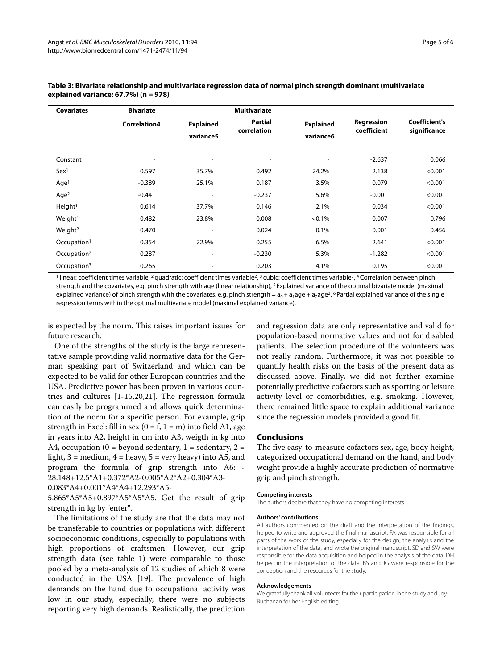| <b>Covariates</b>       | <b>Bivariate</b>    |                               | <b>Multivariate</b>    |                               |                           |                                      |
|-------------------------|---------------------|-------------------------------|------------------------|-------------------------------|---------------------------|--------------------------------------|
|                         | <b>Correlation4</b> | <b>Explained</b><br>variance5 | Partial<br>correlation | <b>Explained</b><br>variance6 | Regression<br>coefficient | <b>Coefficient's</b><br>significance |
| Constant                | ٠                   | ٠                             | $\blacksquare$         | $\overline{\phantom{a}}$      | $-2.637$                  | 0.066                                |
| Sex <sup>1</sup>        | 0.597               | 35.7%                         | 0.492                  | 24.2%                         | 2.138                     | < 0.001                              |
| Aqe <sup>1</sup>        | $-0.389$            | 25.1%                         | 0.187                  | 3.5%                          | 0.079                     | < 0.001                              |
| Aqe <sup>2</sup>        | $-0.441$            | $\overline{\phantom{a}}$      | $-0.237$               | 5.6%                          | $-0.001$                  | < 0.001                              |
| Height <sup>1</sup>     | 0.614               | 37.7%                         | 0.146                  | 2.1%                          | 0.034                     | < 0.001                              |
| Weight <sup>1</sup>     | 0.482               | 23.8%                         | 0.008                  | $< 0.1\%$                     | 0.007                     | 0.796                                |
| Weight <sup>2</sup>     | 0.470               | ٠                             | 0.024                  | 0.1%                          | 0.001                     | 0.456                                |
| Occupation <sup>1</sup> | 0.354               | 22.9%                         | 0.255                  | 6.5%                          | 2.641                     | < 0.001                              |
| Occupation <sup>2</sup> | 0.287               | $\overline{\phantom{a}}$      | $-0.230$               | 5.3%                          | $-1.282$                  | < 0.001                              |
| Occupation <sup>3</sup> | 0.265               | ۰                             | 0.203                  | 4.1%                          | 0.195                     | < 0.001                              |

# **Table 3: Bivariate relationship and multivariate regression data of normal pinch strength dominant (multivariate explained variance: 67.7%) (n = 978)**

<sup>1</sup> linear: coefficient times variable, <sup>2</sup> quadratic: coefficient times variable<sup>2, 3</sup> cubic: coefficient times variable<sup>3, 4</sup> Correlation between pinch strength and the covariates, e.g. pinch strength with age (linear relationship), <sup>5</sup> Explained variance of the optimal bivariate model (maximal explained variance) of pinch strength with the covariates, e.g. pinch strength =  $a_0 + a_1 a_0$ ge +  $a_2 a_0$ ge<sup>2</sup>. <sup>6</sup> Partial explained variance of the single regression terms within the optimal multivariate model (maximal explained variance).

is expected by the norm. This raises important issues for future research.

One of the strengths of the study is the large representative sample providing valid normative data for the German speaking part of Switzerland and which can be expected to be valid for other European countries and the USA. Predictive power has been proven in various countries and cultures [[1](#page-5-0)[-15](#page-5-13),[20](#page-5-18),[21](#page-5-19)]. The regression formula can easily be programmed and allows quick determination of the norm for a specific person. For example, grip strength in Excel: fill in sex ( $0 = f$ ,  $1 = m$ ) into field A1, age in years into A2, height in cm into A3, weigth in kg into A4, occupation (0 = beyond sedentary, 1 = sedentary, 2 = light,  $3 = \text{medium}, 4 = \text{heavy}, 5 = \text{very heavy}$  into A5, and program the formula of grip strength into A6: - 28.148+12.5\*A1+0.372\*A2-0.005\*A2\*A2+0.304\*A3-

0.083\*A4+0.001\*A4\*A4+12.293\*A5-

5.865\*A5\*A5+0.897\*A5\*A5\*A5. Get the result of grip strength in kg by "enter".

The limitations of the study are that the data may not be transferable to countries or populations with different socioeconomic conditions, especially to populations with high proportions of craftsmen. However, our grip strength data (see table [1](#page-2-1)) were comparable to those pooled by a meta-analysis of 12 studies of which 8 were conducted in the USA [[19\]](#page-5-17). The prevalence of high demands on the hand due to occupational activity was low in our study, especially, there were no subjects reporting very high demands. Realistically, the prediction

and regression data are only representative and valid for population-based normative values and not for disabled patients. The selection procedure of the volunteers was not really random. Furthermore, it was not possible to quantify health risks on the basis of the present data as discussed above. Finally, we did not further examine potentially predictive cofactors such as sporting or leisure activity level or comorbidities, e.g. smoking. However, there remained little space to explain additional variance since the regression models provided a good fit.

#### **Conclusions**

The five easy-to-measure cofactors sex, age, body height, categorized occupational demand on the hand, and body weight provide a highly accurate prediction of normative grip and pinch strength.

#### **Competing interests**

The authors declare that they have no competing interests.

#### **Authors' contributions**

All authors commented on the draft and the interpretation of the findings, helped to write and approved the final manuscript. FA was responsible for all parts of the work of the study, especially for the design, the analysis and the interpretation of the data, and wrote the original manuscript. SD and SW were responsible for the data acquisition and helped in the analysis of the data. DH helped in the interpretation of the data. BS and JG were responsible for the conception and the resources for the study.

#### **Acknowledgements**

We gratefully thank all volunteers for their participation in the study and Joy Buchanan for her English editing.